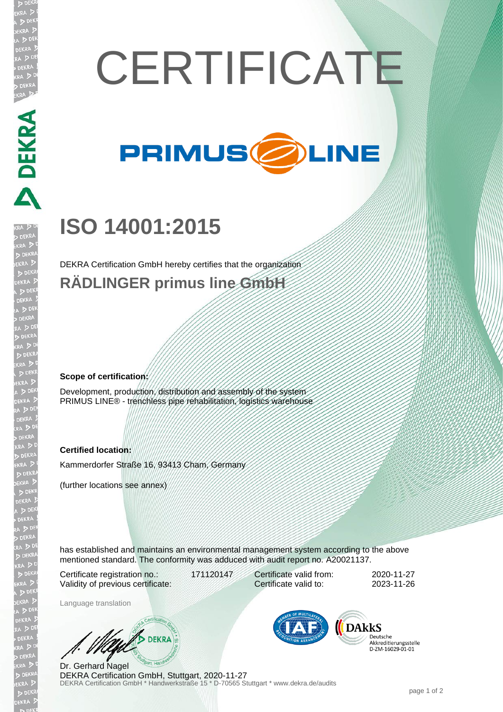

## **ISO 14001:2015**

DEKRA Certification GmbH hereby certifies that the organization **RÄDLINGER primus line GmbH**

**Scope of certification:**

Development, production, distribution and assembly of the system PRIMUS LINE® - trenchless pipe rehabilitation, logistics warehouse

## **Certified location:**

Kammerdorfer Straße 16, 93413 Cham, Germany

(further locations see annex)

has established and maintains an environmental management system according to the above mentioned standard. The conformity was adduced with audit report no. A20021137.

Certificate registration no.: 171120147 Validity of previous certificate:

Certificate valid from: 2020-11-27 Certificate valid to: 2023-11-26

Language translation

**DEKRA** 

DEKRA Certification GmbH \* Handwerkstraße 15 \* D-70565 Stuttgart \* www.dekra.de/audits Dr. Gerhard Nagel DEKRA Certification GmbH, Stuttgart, 2020-11-27



Deutsche Akkreditierungsstelle D-ZM-16029-01-01